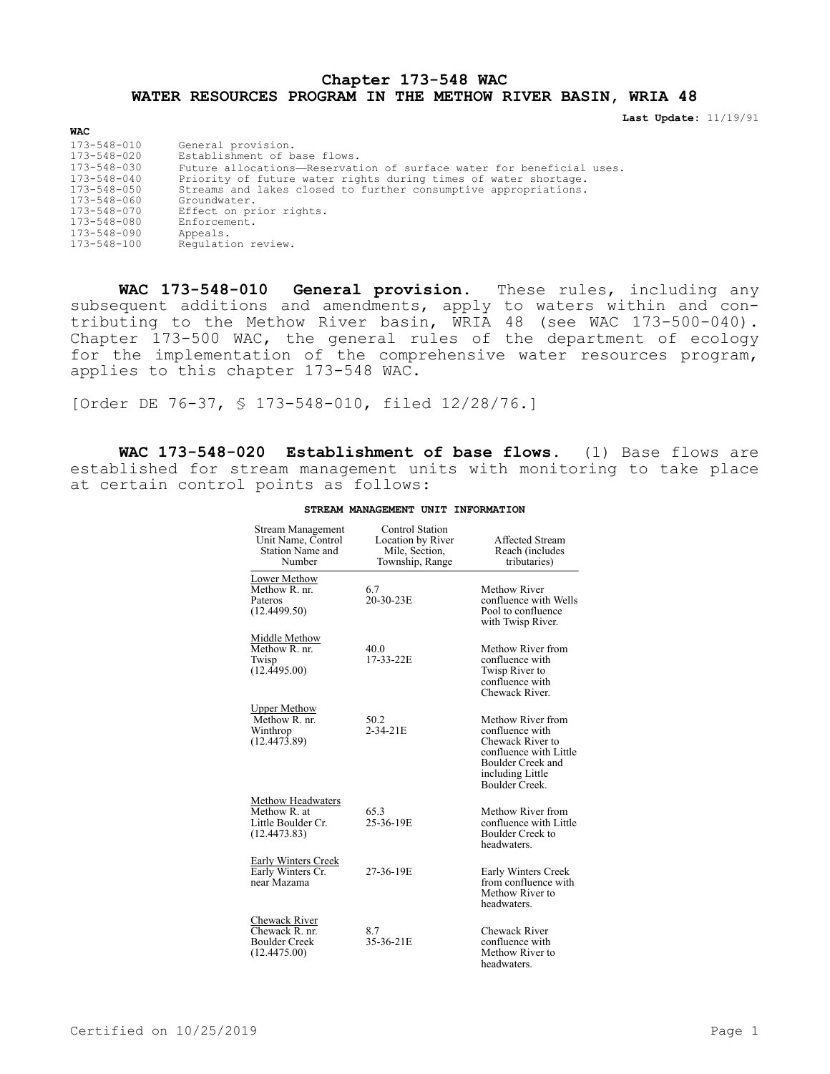## **Chapter 173-548 WAC WATER RESOURCES PROGRAM IN THE METHOW RIVER BASIN, WRIA 48**

**Last Update:** 11/19/91

| <b>WAC</b>        |                                                                      |
|-------------------|----------------------------------------------------------------------|
| 173-548-010       | General provision.                                                   |
| $173 - 548 - 020$ | Establishment of base flows.                                         |
| 173-548-030       | Future allocations-Reservation of surface water for beneficial uses. |
| $173 - 548 - 040$ | Priority of future water rights during times of water shortage.      |
| 173-548-050       | Streams and lakes closed to further consumptive appropriations.      |
| $173 - 548 - 060$ | Groundwater.                                                         |
| 173-548-070       | Effect on prior rights.                                              |
| 173-548-080       | Enforcement.                                                         |
| 173-548-090       | Appeals.                                                             |
| 173-548-100       | Requlation review.                                                   |

**WAC 173-548-010 General provision.** These rules, including any subsequent additions and amendments, apply to waters within and contributing to the Methow River basin, WRIA 48 (see WAC 173-500-040). Chapter 173-500 WAC, the general rules of the department of ecology for the implementation of the comprehensive water resources program, applies to this chapter 173-548 WAC.

[Order DE 76-37, § 173-548-010, filed 12/28/76.]

**WAC 173-548-020 Establishment of base flows.** (1) Base flows are established for stream management units with monitoring to take place at certain control points as follows:

| <b>Stream Management</b><br>Unit Name, Control<br>Station Name and<br>Number   | Control Station<br>Location by River<br>Mile, Section.<br>Township, Range | <b>Affected Stream</b><br>Reach (includes<br>tributaries)                                                                                     |
|--------------------------------------------------------------------------------|---------------------------------------------------------------------------|-----------------------------------------------------------------------------------------------------------------------------------------------|
| Lower Methow<br>Methow R. nr.<br>Pateros<br>(12.4499.50)                       | 6.7<br>20-30-23E                                                          | Methow River<br>confluence with Wells<br>Pool to confluence<br>with Twisp River.                                                              |
| Middle Methow<br>Methow R. nr.<br>Twisp<br>(12.4495.00)                        | 40.0<br>17-33-22E                                                         | Methow River from<br>confluence with<br>Twisp River to<br>confluence with<br>Chewack River.                                                   |
| <b>Upper Methow</b><br>Methow R. nr.<br>Winthrop<br>$(12.447\overline{3}.89)$  | 50.2<br>$2 - 34 - 21E$                                                    | Methow River from<br>confluence with<br>Chewack River to<br>confluence with Little<br>Boulder Creek and<br>including Little<br>Boulder Creek. |
| <b>Methow Headwaters</b><br>Methow R. at<br>Little Boulder Cr.<br>(12.4473.83) | 65.3<br>25-36-19E                                                         | Methow River from<br>confluence with Little<br><b>Boulder Creek to</b><br>headwaters.                                                         |
| <b>Early Winters Creek</b><br>Early Winters Cr.<br>near Mazama                 | 27-36-19E                                                                 | Early Winters Creek<br>from confluence with<br>Methow River to<br>headwaters.                                                                 |
| Chewack River<br>Chewack R. nr.<br><b>Boulder Creek</b><br>(12.4475.00)        | 8.7<br>35-36-21E                                                          | Chewack River<br>confluence with<br>Methow River to<br>headwaters.                                                                            |

## **STREAM MANAGEMENT UNIT INFORMATION**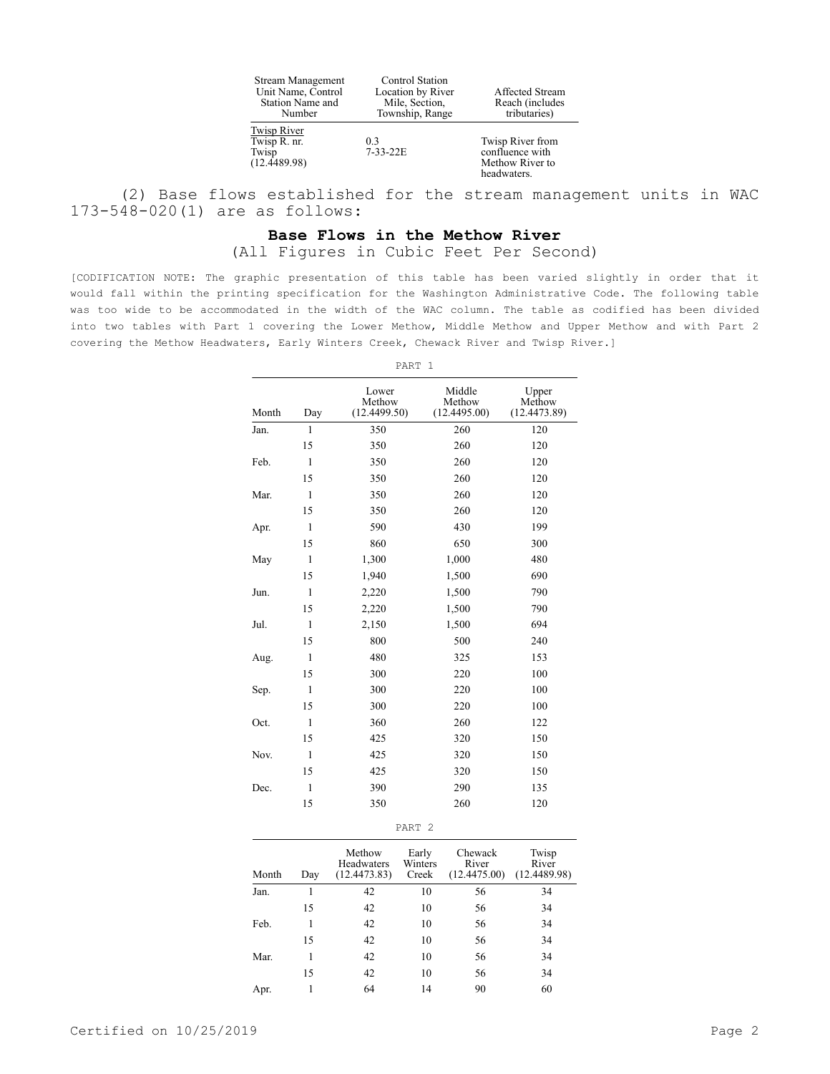| <b>Stream Management</b><br>Unit Name, Control<br>Station Name and<br>Number | <b>Control Station</b><br>Location by River<br>Mile, Section.<br>Township, Range | <b>Affected Stream</b><br>Reach (includes)<br>tributaries)            |
|------------------------------------------------------------------------------|----------------------------------------------------------------------------------|-----------------------------------------------------------------------|
| Twisp River<br>Twisp R. nr.<br>Twisp<br>(12.4489.98)                         | 0.3<br>$7-33-22E$                                                                | Twisp River from<br>confluence with<br>Methow River to<br>headwaters. |

(2) Base flows established for the stream management units in WAC 173-548-020(1) are as follows:

## **Base Flows in the Methow River**

(All Figures in Cubic Feet Per Second)

[CODIFICATION NOTE: The graphic presentation of this table has been varied slightly in order that it would fall within the printing specification for the Washington Administrative Code. The following table was too wide to be accommodated in the width of the WAC column. The table as codified has been divided into two tables with Part 1 covering the Lower Methow, Middle Methow and Upper Methow and with Part 2 covering the Methow Headwaters, Early Winters Creek, Chewack River and Twisp River.]

| Month | Day          | Lower<br>Methow<br>(12.4499.50) | Middle<br>Methow<br>(12.4495.00) | Upper<br>Methow<br>(12.4473.89) |
|-------|--------------|---------------------------------|----------------------------------|---------------------------------|
| Jan.  | $\mathbf{1}$ | 350                             | 260                              | 120                             |
|       | 15           | 350                             | 260                              | 120                             |
| Feb.  | $\mathbf{1}$ | 350                             | 260                              | 120                             |
|       | 15           | 350                             | 260                              | 120                             |
| Mar.  | $\mathbf{1}$ | 350                             | 260                              | 120                             |
|       | 15           | 350                             | 260                              | 120                             |
| Apr.  | $\mathbf{1}$ | 590                             | 430                              | 199                             |
|       | 15           | 860                             | 650                              | 300                             |
| May   | $\mathbf{1}$ | 1,300                           | 1,000                            | 480                             |
|       | 15           | 1,940                           | 1,500                            | 690                             |
| Jun.  | $\mathbf{1}$ | 2,220                           | 1,500                            | 790                             |
|       | 15           | 2,220                           | 1,500                            | 790                             |
| Jul.  | $\mathbf{1}$ | 2,150                           | 1,500                            | 694                             |
|       | 15           | 800                             | 500                              | 240                             |
| Aug.  | $\mathbf{1}$ | 480                             | 325                              | 153                             |
|       | 15           | 300                             | 220                              | 100                             |
| Sep.  | $\mathbf{1}$ | 300                             | 220                              | 100                             |
|       | 15           | 300                             | 220                              | 100                             |
| Oct.  | $\mathbf{1}$ | 360                             | 260                              | 122                             |
|       | 15           | 425                             | 320                              | 150                             |
| Nov.  | $\mathbf{1}$ | 425                             | 320                              | 150                             |
|       | 15           | 425                             | 320                              | 150                             |
| Dec.  | $\mathbf{1}$ | 390                             | 290                              | 135                             |
|       | 15           | 350                             | 260                              | 120                             |

| Month | Day | Methow<br><b>Headwaters</b><br>(12.4473.83) | Early<br>Winters<br>Creek | Chewack<br>River<br>(12.4475.00) | Twisp<br>River<br>(12.4489.98) |
|-------|-----|---------------------------------------------|---------------------------|----------------------------------|--------------------------------|
| Jan.  |     | 42                                          | 10                        | 56                               | 34                             |
|       | 15  | 42                                          | 10                        | 56                               | 34                             |
| Feb.  |     | 42                                          | 10                        | 56                               | 34                             |
|       | 15  | 42                                          | 10                        | 56                               | 34                             |
| Mar.  |     | 42                                          | 10                        | 56                               | 34                             |
|       | 15  | 42                                          | 10                        | 56                               | 34                             |
| Apr.  |     | 64                                          | 14                        | 90                               | 60                             |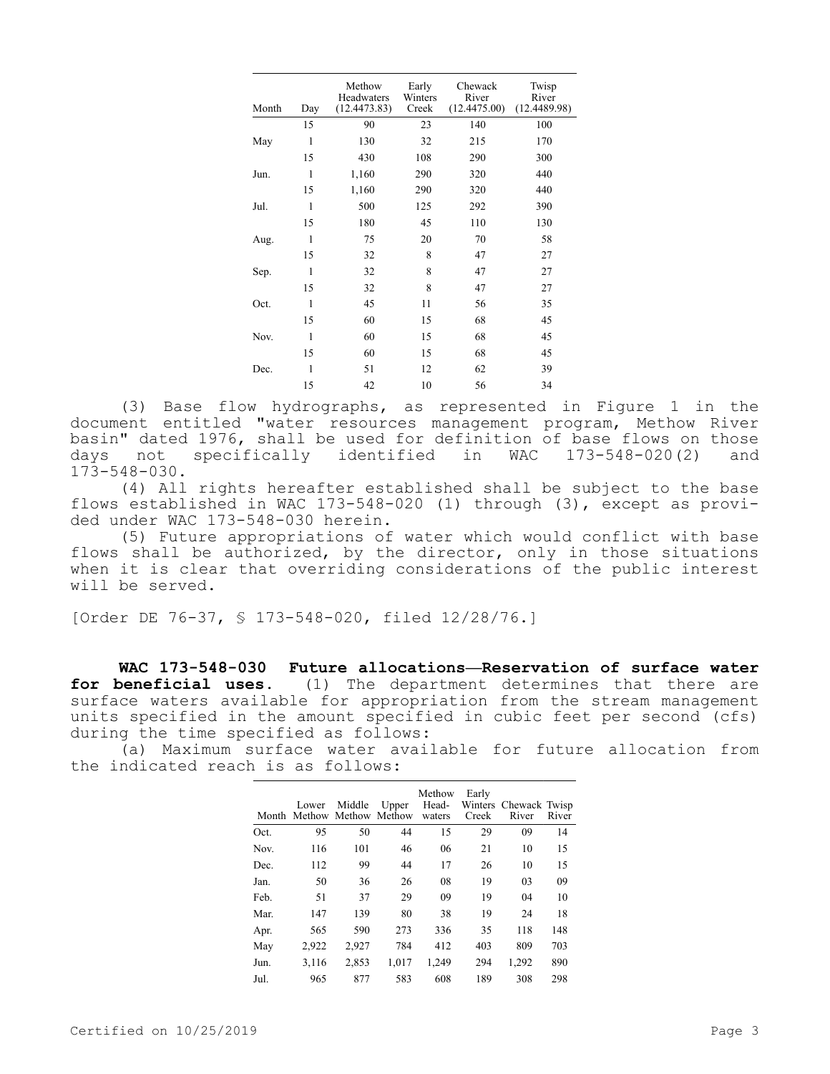| Day          | Methow<br>Headwaters<br>(12.4473.83) | Early<br>Winters<br>Creek | Chewack<br>River<br>(12.4475.00) | Twisp<br>River<br>(12.4489.98) |
|--------------|--------------------------------------|---------------------------|----------------------------------|--------------------------------|
| 15           | 90                                   | 23                        | 140                              | 100                            |
| $\mathbf{1}$ | 130                                  | 32                        | 215                              | 170                            |
| 15           | 430                                  | 108                       | 290                              | 300                            |
| 1            | 1,160                                | 290                       | 320                              | 440                            |
| 15           | 1,160                                | 290                       | 320                              | 440                            |
| 1            | 500                                  | 125                       | 292                              | 390                            |
| 15           | 180                                  | 45                        | 110                              | 130                            |
| $\mathbf{1}$ | 75                                   | 20                        | 70                               | 58                             |
| 15           | 32                                   | 8                         | 47                               | 27                             |
| $\mathbf{1}$ | 32                                   | 8                         | 47                               | 27                             |
| 15           | 32                                   | 8                         | 47                               | 27                             |
| $\mathbf{1}$ | 45                                   | 11                        | 56                               | 35                             |
| 15           | 60                                   | 15                        | 68                               | 45                             |
| $\mathbf{1}$ | 60                                   | 15                        | 68                               | 45                             |
| 15           | 60                                   | 15                        | 68                               | 45                             |
| 1            | 51                                   | 12                        | 62                               | 39                             |
| 15           | 42                                   | 10                        | 56                               | 34                             |
|              |                                      |                           |                                  |                                |

(3) Base flow hydrographs, as represented in Figure 1 in the document entitled "water resources management program, Methow River basin" dated 1976, shall be used for definition of base flows on those<br>days not specifically identified in WAC 173-548-020(2) and days not specifically identified in WAC 173-548-020(2) and 173-548-030.

(4) All rights hereafter established shall be subject to the base flows established in WAC 173-548-020 (1) through (3), except as provided under WAC 173-548-030 herein.

(5) Future appropriations of water which would conflict with base flows shall be authorized, by the director, only in those situations when it is clear that overriding considerations of the public interest will be served.

[Order DE 76-37, § 173-548-020, filed 12/28/76.]

**WAC 173-548-030 Future allocations—Reservation of surface water for beneficial uses.** (1) The department determines that there are surface waters available for appropriation from the stream management units specified in the amount specified in cubic feet per second (cfs) during the time specified as follows:

(a) Maximum surface water available for future allocation from the indicated reach is as follows:

|      | Lower<br>Month Methow | Middle | Upper<br>Methow Methow | Methow<br>Head-<br>waters | Early<br>Winters<br>Creek | Chewack Twisp<br>River | River |
|------|-----------------------|--------|------------------------|---------------------------|---------------------------|------------------------|-------|
| Oct. | 95                    | 50     | 44                     | 15                        | 29                        | 09                     | 14    |
| Nov. | 116                   | 101    | 46                     | 06                        | 21                        | 10                     | 15    |
| Dec. | 112                   | 99     | 44                     | 17                        | 26                        | 10                     | 15    |
| Jan. | 50                    | 36     | 26                     | 08                        | 19                        | 03                     | 09    |
| Feb. | 51                    | 37     | 29                     | 09                        | 19                        | 04                     | 10    |
| Mar. | 147                   | 139    | 80                     | 38                        | 19                        | 24                     | 18    |
| Apr. | 565                   | 590    | 273                    | 336                       | 35                        | 118                    | 148   |
| May  | 2,922                 | 2,927  | 784                    | 412                       | 403                       | 809                    | 703   |
| Jun. | 3,116                 | 2,853  | 1.017                  | 1.249                     | 294                       | 1,292                  | 890   |
| Jul. | 965                   | 877    | 583                    | 608                       | 189                       | 308                    | 298   |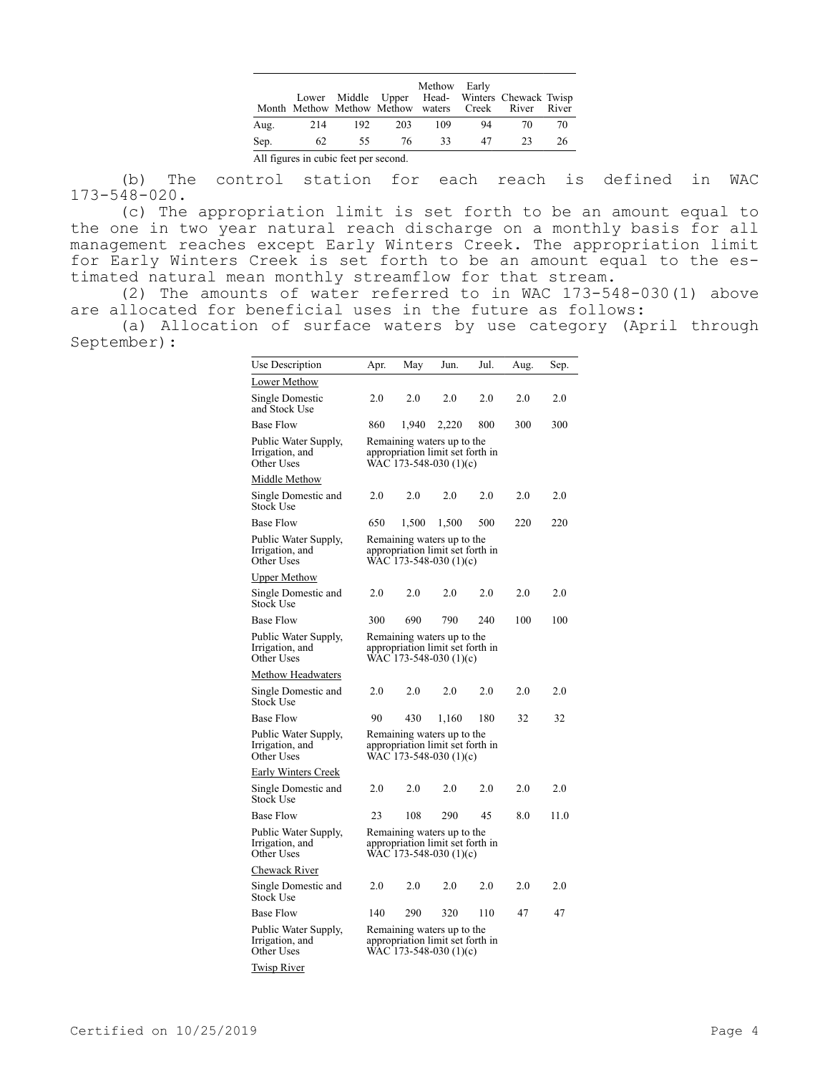|                                       |     |     |     | Methow Early |    | Lower Middle Upper Head- Winters Chewack Twisp<br>Month Methow Methow Methow waters Creek River River |    |
|---------------------------------------|-----|-----|-----|--------------|----|-------------------------------------------------------------------------------------------------------|----|
| Aug.                                  | 214 | 192 | 203 | 109          | 94 | 70                                                                                                    | 70 |
| Sep.                                  | 62  | 55  | -76 | 33           | 47 | 23                                                                                                    | 26 |
| All figures in cubic feet per second. |     |     |     |              |    |                                                                                                       |    |

(b) The control station for each reach is defined in WAC 173-548-020.

(c) The appropriation limit is set forth to be an amount equal to the one in two year natural reach discharge on a monthly basis for all management reaches except Early Winters Creek. The appropriation limit for Early Winters Creek is set forth to be an amount equal to the estimated natural mean monthly streamflow for that stream.

(2) The amounts of water referred to in WAC 173-548-030(1) above are allocated for beneficial uses in the future as follows:

(a) Allocation of surface waters by use category (April through September):

| Use Description                                       | Apr.                                                                                     | May                                                                                      | Jun.  | Jul. | Aug. | Sep. |
|-------------------------------------------------------|------------------------------------------------------------------------------------------|------------------------------------------------------------------------------------------|-------|------|------|------|
| Lower Methow                                          |                                                                                          |                                                                                          |       |      |      |      |
| Single Domestic<br>and Stock Use                      | 2.0                                                                                      | 2.0                                                                                      | 2.0   | 2.0  | 2.0  | 2.0  |
| Base Flow                                             | 860                                                                                      | 1,940                                                                                    | 2,220 | 800  | 300  | 300  |
| Public Water Supply,<br>Irrigation, and<br>Other Uses |                                                                                          | Remaining waters up to the<br>appropriation limit set forth in<br>WAC 173-548-030 (1)(c) |       |      |      |      |
| Middle Methow                                         |                                                                                          |                                                                                          |       |      |      |      |
| Single Domestic and<br>Stock Use                      | 2.0                                                                                      | 2.0                                                                                      | 2.0   | 2.0  | 2.0  | 2.0  |
| Base Flow                                             | 650                                                                                      | 1,500                                                                                    | 1,500 | 500  | 220  | 220  |
| Public Water Supply,<br>Irrigation, and<br>Other Uses |                                                                                          | Remaining waters up to the<br>appropriation limit set forth in<br>WAC 173-548-030 (1)(c) |       |      |      |      |
| <b>Upper Methow</b>                                   |                                                                                          |                                                                                          |       |      |      |      |
| Single Domestic and<br>Stock Use                      | 2.0                                                                                      | 2.0                                                                                      | 2.0   | 2.0  | 2.0  | 2.0  |
| Base Flow                                             | 300                                                                                      | 690                                                                                      | 790   | 240  | 100  | 100  |
| Public Water Supply,<br>Irrigation, and<br>Other Uses | Remaining waters up to the<br>appropriation limit set forth in<br>WAC 173-548-030 (1)(c) |                                                                                          |       |      |      |      |
| Methow Headwaters                                     |                                                                                          |                                                                                          |       |      |      |      |
| Single Domestic and<br>Stock Use                      | 2.0                                                                                      | 2.0                                                                                      | 2.0   | 2.0  | 2.0  | 2.0  |
| Base Flow                                             | 90                                                                                       | 430                                                                                      | 1,160 | 180  | 32   | 32   |
| Public Water Supply,<br>Irrigation, and<br>Other Uses |                                                                                          | Remaining waters up to the<br>appropriation limit set forth in<br>WAC 173-548-030 (1)(c) |       |      |      |      |
| <u>Early Winters Creek</u>                            |                                                                                          |                                                                                          |       |      |      |      |
| Single Domestic and<br>Stock Use                      | 2.0                                                                                      | 2.0                                                                                      | 2.0   | 2.0  | 2.0  | 2.0  |
| Base Flow                                             | 23                                                                                       | 108                                                                                      | 290   | 45   | 8.0  | 11.0 |
| Public Water Supply,<br>Irrigation, and<br>Other Uses |                                                                                          | Remaining waters up to the<br>appropriation limit set forth in<br>WAC 173-548-030 (1)(c) |       |      |      |      |
| Chewack River                                         |                                                                                          |                                                                                          |       |      |      |      |
| Single Domestic and<br>Stock Use                      | 2.0                                                                                      | 2.0                                                                                      | 2.0   | 2.0  | 2.0  | 2.0  |
| Base Flow                                             | 140                                                                                      | 290                                                                                      | 320   | 110  | 47   | 47   |
| Public Water Supply,<br>Irrigation, and<br>Other Uses |                                                                                          | Remaining waters up to the<br>appropriation limit set forth in<br>WAC 173-548-030 (1)(c) |       |      |      |      |
| <b>Twisp River</b>                                    |                                                                                          |                                                                                          |       |      |      |      |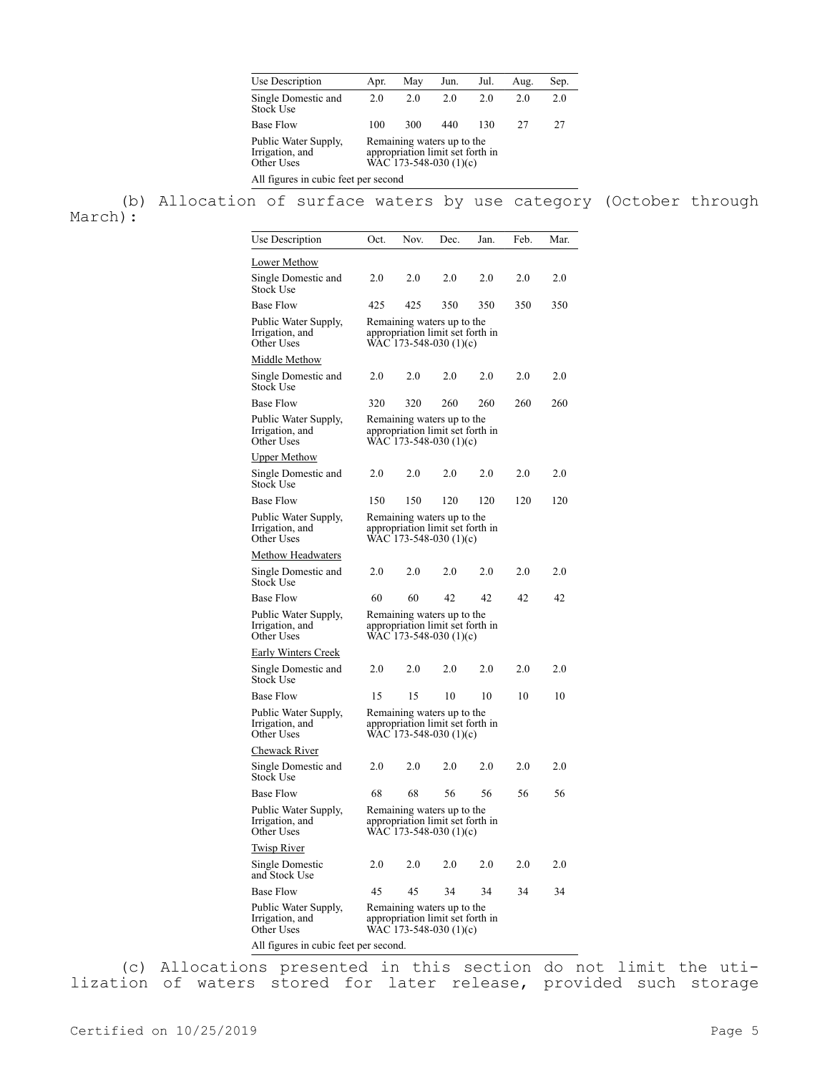| Use Description                                       | Apr.                                                                                     | May | Jun. | Jul. | Aug. | Sep. |
|-------------------------------------------------------|------------------------------------------------------------------------------------------|-----|------|------|------|------|
| Single Domestic and<br><b>Stock Use</b>               | 2.0                                                                                      | 2.0 | 2.0  | 2.0  | 2.0  | 2.0  |
| <b>Base Flow</b>                                      | 100                                                                                      | 300 | 440  | 130  | 27   | 27   |
| Public Water Supply,<br>Irrigation, and<br>Other Uses | Remaining waters up to the<br>appropriation limit set forth in<br>WAC 173-548-030 (1)(c) |     |      |      |      |      |
| All figures in cubic feet per second                  |                                                                                          |     |      |      |      |      |

(b) Allocation of surface waters by use category (October through March):

| Use Description                                       | Oct.                                                                                     | Nov.                                                                                     | Dec. | Jan. | Feb. | Mar. |  |
|-------------------------------------------------------|------------------------------------------------------------------------------------------|------------------------------------------------------------------------------------------|------|------|------|------|--|
| <u> Lower Methow</u>                                  |                                                                                          |                                                                                          |      |      |      |      |  |
| Single Domestic and<br>Stock Use                      | 2.0                                                                                      | 2.0                                                                                      | 2.0  | 2.0  | 2.0  | 2.0  |  |
| Base Flow                                             | 425                                                                                      | 425                                                                                      | 350  | 350  | 350  | 350  |  |
| Public Water Supply,<br>Irrigation, and<br>Other Uses |                                                                                          | Remaining waters up to the<br>appropriation limit set forth in<br>WAC 173-548-030 (1)(c) |      |      |      |      |  |
| <u> Middle Methow</u>                                 |                                                                                          |                                                                                          |      |      |      |      |  |
| Single Domestic and<br>Stock Use                      | 2.0                                                                                      | 2.0                                                                                      | 2.0  | 2.0  | 2.0  | 2.0  |  |
| Base Flow                                             | 320                                                                                      | 320                                                                                      | 260  | 260  | 260  | 260  |  |
| Public Water Supply,<br>Irrigation, and<br>Other Uses |                                                                                          | Remaining waters up to the<br>appropriation limit set forth in<br>WAC 173-548-030 (1)(c) |      |      |      |      |  |
| <b>Upper Methow</b>                                   |                                                                                          |                                                                                          |      |      |      |      |  |
| Single Domestic and<br>Stock Use                      | 2.0                                                                                      | 2.0                                                                                      | 2.0  | 2.0  | 2.0  | 2.0  |  |
| Base Flow                                             | 150                                                                                      | 150                                                                                      | 120  | 120  | 120  | 120  |  |
| Public Water Supply,<br>Irrigation, and<br>Other Uses |                                                                                          | Remaining waters up to the<br>appropriation limit set forth in<br>WAC 173-548-030 (1)(c) |      |      |      |      |  |
| <u>Methow Headwaters</u>                              |                                                                                          |                                                                                          |      |      |      |      |  |
| Single Domestic and<br>Stock Use                      | 2.0                                                                                      | 2.0                                                                                      | 2.0  | 2.0  | 2.0  | 2.0  |  |
| Base Flow                                             | 60                                                                                       | 60                                                                                       | 42   | 42   | 42   | 42   |  |
| Public Water Supply,<br>Irrigation, and<br>Other Uses |                                                                                          | Remaining waters up to the<br>appropriation limit set forth in<br>WAC 173-548-030 (1)(c) |      |      |      |      |  |
| <u>Early Winters Creek</u>                            |                                                                                          |                                                                                          |      |      |      |      |  |
| Single Domestic and<br>Stock Use                      | 2.0                                                                                      | 2.0                                                                                      | 2.0  | 2.0  | 2.0  | 2.0  |  |
| Base Flow                                             | 15                                                                                       | 15                                                                                       | 10   | 10   | 10   | 10   |  |
| Public Water Supply,<br>Irrigation, and<br>Other Uses | Remaining waters up to the<br>appropriation limit set forth in<br>WAC 173-548-030 (1)(c) |                                                                                          |      |      |      |      |  |
| <u>Chewack River</u>                                  |                                                                                          |                                                                                          |      |      |      |      |  |
| Single Domestic and<br>Stock Use                      | 2.0                                                                                      | 2.0                                                                                      | 2.0  | 2.0  | 2.0  | 2.0  |  |
| Base Flow                                             | 68                                                                                       | 68                                                                                       | 56   | 56   | 56   | 56   |  |
| Public Water Supply,<br>Irrigation, and<br>Other Uses |                                                                                          | Remaining waters up to the<br>appropriation limit set forth in<br>WAC 173-548-030 (1)(c) |      |      |      |      |  |
| <u>Twisp River</u>                                    |                                                                                          |                                                                                          |      |      |      |      |  |
| Single Domestic<br>and Stock Use                      | 2.0                                                                                      | 2.0                                                                                      | 2.0  | 2.0  | 2.0  | 2.0  |  |
| Base Flow                                             | 45                                                                                       | 45                                                                                       | 34   | 34   | 34   | 34   |  |
| Public Water Supply,<br>Irrigation, and<br>Other Uses |                                                                                          | Remaining waters up to the<br>appropriation limit set forth in<br>WAC 173-548-030 (1)(c) |      |      |      |      |  |
| All figures in cubic feet per second.                 |                                                                                          |                                                                                          |      |      |      |      |  |

(c) Allocations presented in this section do not limit the utilization of waters stored for later release, provided such storage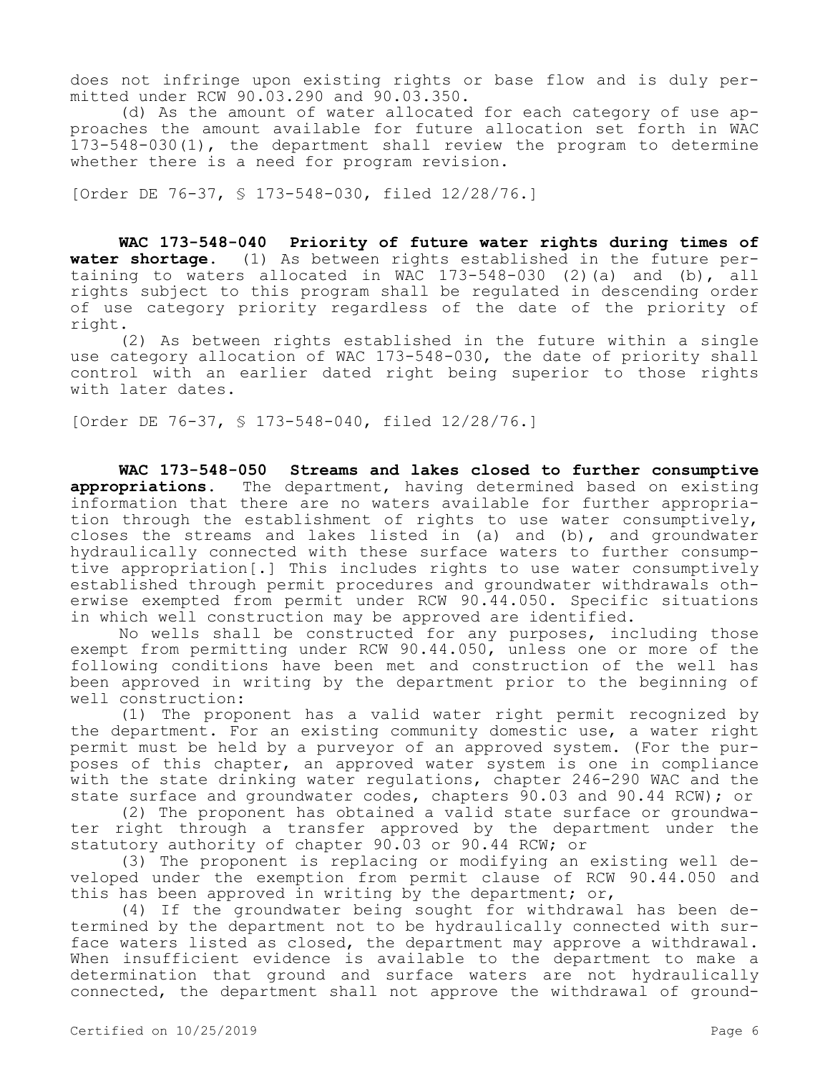does not infringe upon existing rights or base flow and is duly permitted under RCW 90.03.290 and 90.03.350.

(d) As the amount of water allocated for each category of use approaches the amount available for future allocation set forth in WAC 173-548-030(1), the department shall review the program to determine whether there is a need for program revision.

[Order DE 76-37, § 173-548-030, filed 12/28/76.]

**WAC 173-548-040 Priority of future water rights during times of water shortage.** (1) As between rights established in the future pertaining to waters allocated in WAC 173-548-030 (2)(a) and (b), all rights subject to this program shall be regulated in descending order of use category priority regardless of the date of the priority of right.

(2) As between rights established in the future within a single use category allocation of WAC 173-548-030, the date of priority shall control with an earlier dated right being superior to those rights with later dates.

[Order DE 76-37, § 173-548-040, filed 12/28/76.]

**WAC 173-548-050 Streams and lakes closed to further consumptive appropriations.** The department, having determined based on existing information that there are no waters available for further appropriation through the establishment of rights to use water consumptively, closes the streams and lakes listed in (a) and (b), and groundwater hydraulically connected with these surface waters to further consumptive appropriation[.] This includes rights to use water consumptively established through permit procedures and groundwater withdrawals otherwise exempted from permit under RCW 90.44.050. Specific situations in which well construction may be approved are identified.

No wells shall be constructed for any purposes, including those exempt from permitting under RCW 90.44.050, unless one or more of the following conditions have been met and construction of the well has been approved in writing by the department prior to the beginning of well construction:

(1) The proponent has a valid water right permit recognized by the department. For an existing community domestic use, a water right permit must be held by a purveyor of an approved system. (For the purposes of this chapter, an approved water system is one in compliance with the state drinking water regulations, chapter 246-290 WAC and the state surface and groundwater codes, chapters 90.03 and 90.44 RCW); or

(2) The proponent has obtained a valid state surface or groundwater right through a transfer approved by the department under the statutory authority of chapter 90.03 or 90.44 RCW; or

(3) The proponent is replacing or modifying an existing well developed under the exemption from permit clause of RCW 90.44.050 and this has been approved in writing by the department; or,

(4) If the groundwater being sought for withdrawal has been determined by the department not to be hydraulically connected with surface waters listed as closed, the department may approve a withdrawal. When insufficient evidence is available to the department to make a determination that ground and surface waters are not hydraulically connected, the department shall not approve the withdrawal of ground-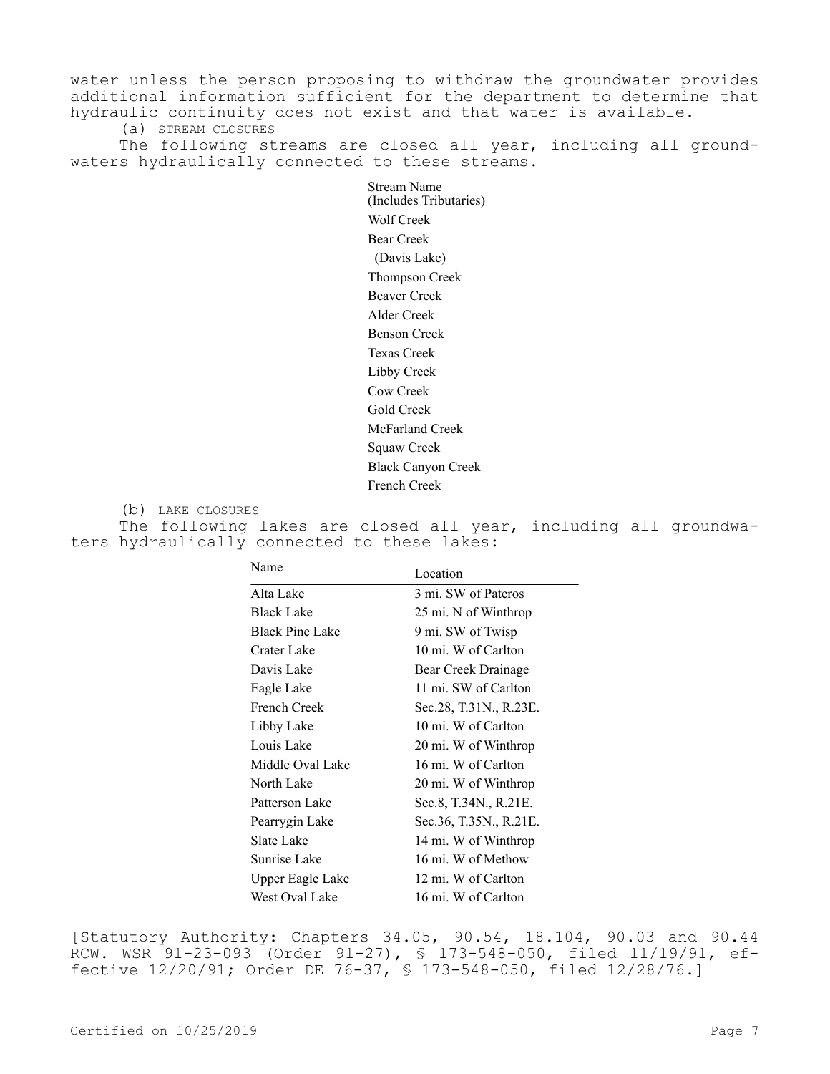water unless the person proposing to withdraw the groundwater provides additional information sufficient for the department to determine that hydraulic continuity does not exist and that water is available.

(a) STREAM CLOSURES

The following streams are closed all year, including all groundwaters hydraulically connected to these streams.

| Stream Name<br>(Includes Tributaries) |
|---------------------------------------|
| Wolf Creek                            |
| <b>Bear Creek</b>                     |
| (Davis Lake)                          |
| Thompson Creek                        |
| <b>Beaver Creek</b>                   |
| Alder Creek                           |
| <b>Benson Creek</b>                   |
| Texas Creek                           |
| Libby Creek                           |
| Cow Creek                             |
| Gold Creek                            |
| McFarland Creek                       |
| Squaw Creek                           |
| <b>Black Canyon Creek</b>             |
| French Creek                          |

(b) LAKE CLOSURES

The following lakes are closed all year, including all groundwaters hydraulically connected to these lakes:

| Name                   | Location               |
|------------------------|------------------------|
| Alta Lake              | 3 mi. SW of Pateros    |
| <b>Black Lake</b>      | 25 mi. N of Winthrop   |
| <b>Black Pine Lake</b> | 9 mi. SW of Twisp      |
| Crater Lake            | 10 mi. W of Carlton    |
| Davis Lake             | Bear Creek Drainage    |
| Eagle Lake             | 11 mi. SW of Carlton   |
| French Creek           | Sec.28, T.31N., R.23E. |
| Libby Lake             | 10 mi. W of Carlton    |
| Louis Lake             | 20 mi. W of Winthrop   |
| Middle Oval Lake       | 16 mi. W of Carlton    |
| North Lake             | 20 mi. W of Winthrop   |
| Patterson Lake         | Sec.8, T.34N., R.21E.  |
| Pearrygin Lake         | Sec.36, T.35N., R.21E. |
| Slate Lake             | 14 mi. W of Winthrop   |
| Sunrise Lake           | 16 mi. W of Methow     |
| Upper Eagle Lake       | 12 mi. W of Carlton    |
| West Oval Lake         | 16 mi. W of Carlton    |

[Statutory Authority: Chapters 34.05, 90.54, 18.104, 90.03 and 90.44 RCW. WSR 91-23-093 (Order 91-27), § 173-548-050, filed 11/19/91, effective 12/20/91; Order DE 76-37, § 173-548-050, filed 12/28/76.]